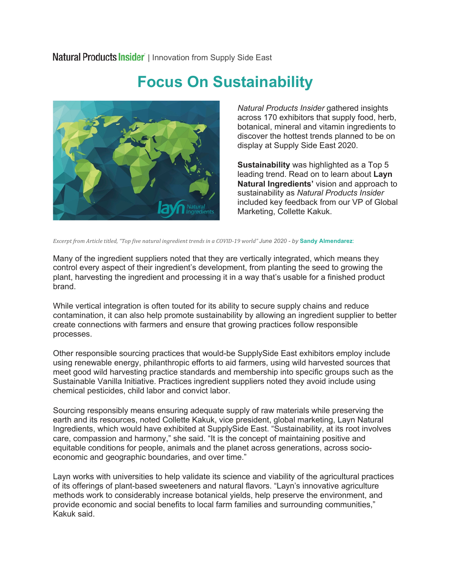

## **Focus On Sustainability**

*Natural Products Insider* gathered insights across 170 exhibitors that supply food, herb, botanical, mineral and vitamin ingredients to discover the hottest trends planned to be on display at Supply Side East 2020.

**Sustainability** was highlighted as a Top 5 leading trend. Read on to learn about **Layn Natural Ingredients'** vision and approach to sustainability as *Natural Products Insider*  included key feedback from our VP of Global Marketing, Collette Kakuk.

*Excerpt from Article titled, "Top five natural ingredient trends in a COVID-19 world" June 2020 - by* **Sandy Almendarez**:

Many of the ingredient suppliers noted that they are vertically integrated, which means they control every aspect of their ingredient's development, from planting the seed to growing the plant, harvesting the ingredient and processing it in a way that's usable for a finished product brand.

While vertical integration is often touted for its ability to secure supply chains and reduce contamination, it can also help promote sustainability by allowing an ingredient supplier to better create connections with farmers and ensure that growing practices follow responsible processes.

Other responsible sourcing practices that would-be SupplySide East exhibitors employ include using renewable energy, philanthropic efforts to aid farmers, using wild harvested sources that meet good wild harvesting practice standards and membership into specific groups such as the Sustainable Vanilla Initiative. Practices ingredient suppliers noted they avoid include using chemical pesticides, child labor and convict labor.

Sourcing responsibly means ensuring adequate supply of raw materials while preserving the earth and its resources, noted Collette Kakuk, vice president, global marketing, Layn Natural Ingredients, which would have exhibited at SupplySide East. "Sustainability, at its root involves care, compassion and harmony," she said. "It is the concept of maintaining positive and equitable conditions for people, animals and the planet across generations, across socioeconomic and geographic boundaries, and over time."

Layn works with universities to help validate its science and viability of the agricultural practices of its offerings of plant-based sweeteners and natural flavors. "Layn's innovative agriculture methods work to considerably increase botanical yields, help preserve the environment, and provide economic and social benefits to local farm families and surrounding communities," Kakuk said.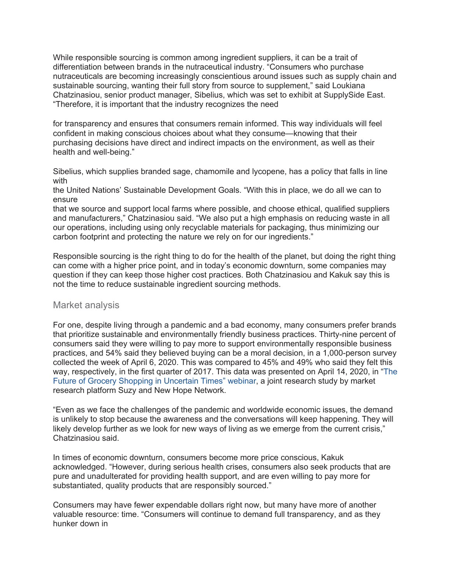While responsible sourcing is common among ingredient suppliers, it can be a trait of differentiation between brands in the nutraceutical industry. "Consumers who purchase nutraceuticals are becoming increasingly conscientious around issues such as supply chain and sustainable sourcing, wanting their full story from source to supplement," said Loukiana Chatzinasiou, senior product manager, Sibelius, which was set to exhibit at SupplySide East. "Therefore, it is important that the industry recognizes the need

for transparency and ensures that consumers remain informed. This way individuals will feel confident in making conscious choices about what they consume—knowing that their purchasing decisions have direct and indirect impacts on the environment, as well as their health and well-being."

Sibelius, which supplies branded sage, chamomile and lycopene, has a policy that falls in line with

the United Nations' Sustainable Development Goals. "With this in place, we do all we can to ensure

that we source and support local farms where possible, and choose ethical, qualified suppliers and manufacturers," Chatzinasiou said. "We also put a high emphasis on reducing waste in all our operations, including using only recyclable materials for packaging, thus minimizing our carbon footprint and protecting the nature we rely on for our ingredients."

Responsible sourcing is the right thing to do for the health of the planet, but doing the right thing can come with a higher price point, and in today's economic downturn, some companies may question if they can keep those higher cost practices. Both Chatzinasiou and Kakuk say this is not the time to reduce sustainable ingredient sourcing methods.

## Market analysis

For one, despite living through a pandemic and a bad economy, many consumers prefer brands that prioritize sustainable and environmentally friendly business practices. Thirty-nine percent of consumers said they were willing to pay more to support environmentally responsible business practices, and 54% said they believed buying can be a moral decision, in a 1,000-person survey collected the week of April 6, 2020. This was compared to 45% and 49% who said they felt this way, respectively, in the first quarter of 2017. This data was presented on April 14, 2020, in "The Future of Grocery Shopping in Uncertain Times" webinar, a joint research study by market research platform Suzy and New Hope Network.

"Even as we face the challenges of the pandemic and worldwide economic issues, the demand is unlikely to stop because the awareness and the conversations will keep happening. They will likely develop further as we look for new ways of living as we emerge from the current crisis," Chatzinasiou said.

In times of economic downturn, consumers become more price conscious, Kakuk acknowledged. "However, during serious health crises, consumers also seek products that are pure and unadulterated for providing health support, and are even willing to pay more for substantiated, quality products that are responsibly sourced."

Consumers may have fewer expendable dollars right now, but many have more of another valuable resource: time. "Consumers will continue to demand full transparency, and as they hunker down in